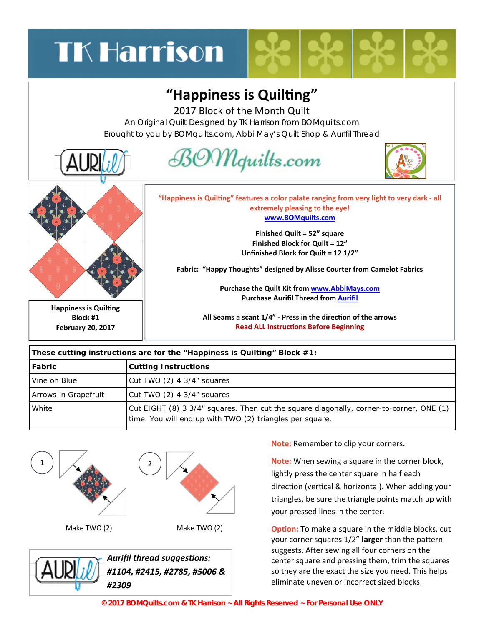## **TK Harrison**

## "Happiness is Quilting"

2017 Block of the Month Quilt

An Original Quilt Designed by TK Harrison from BOMquilts.com Brought to you by BOMquilts.com, Abbi May's Quilt Shop & Aurifil Thread



| These cutting instructions are for the "Happiness is Quilting" Block #1: |                                                                                                                                                     |
|--------------------------------------------------------------------------|-----------------------------------------------------------------------------------------------------------------------------------------------------|
| Fabric                                                                   | <b>Cutting Instructions</b>                                                                                                                         |
| Vine on Blue                                                             | Cut TWO $(2)$ 4 3/4" squares                                                                                                                        |
| Arrows in Grapefruit                                                     | Cut TWO (2) 4 3/4" squares                                                                                                                          |
| White                                                                    | Cut EIGHT (8) 3 3/4" squares. Then cut the square diagonally, corner-to-corner, ONE (1)<br>time. You will end up with TWO (2) triangles per square. |



Make TWO (2) Make TWO (2)



*[A](http://www.followthatthread.com)urifil thread suggesƟons: #1104, #2415, #2785, #5006 &*  **Note:** Remember to clip your corners.

**Note:** When sewing a square in the corner block, lightly press the center square in half each direction (vertical & horizontal). When adding your triangles, be sure the triangle points match up with your pressed lines in the center.

**Option:** To make a square in the middle blocks, cut your corner squares 1/2" larger than the pattern suggests. After sewing all four corners on the center square and pressing them, trim the squares so they are the exact the size you need. This helps eliminate uneven or incorrect sized blocks.